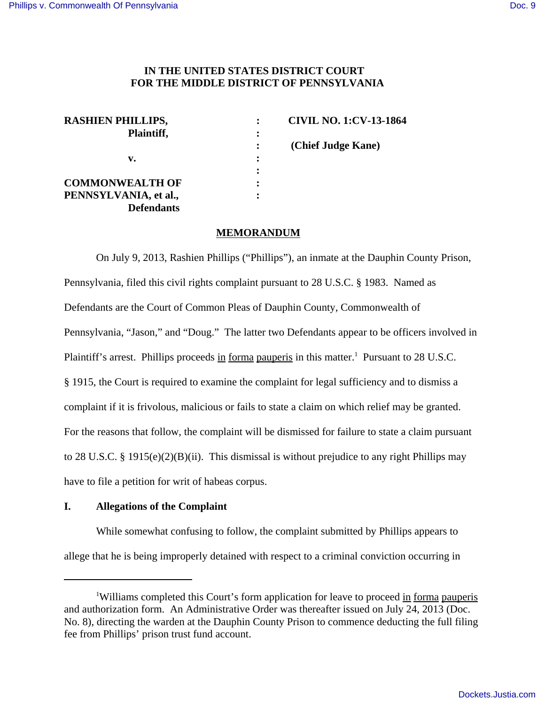# **IN THE UNITED STATES DISTRICT COURT FOR THE MIDDLE DISTRICT OF PENNSYLVANIA**

| <b>RASHIEN PHILLIPS,</b> |         | <b>CIVIL NO. 1:CV-13-1864</b> |
|--------------------------|---------|-------------------------------|
| Plaintiff,               | :       |                               |
|                          | $\cdot$ | (Chief Judge Kane)            |
| v.                       | :       |                               |
|                          |         |                               |
| <b>COMMONWEALTH OF</b>   |         |                               |
| PENNSYLVANIA, et al.,    |         |                               |
| <b>Defendants</b>        |         |                               |

### **MEMORANDUM**

On July 9, 2013, Rashien Phillips ("Phillips"), an inmate at the Dauphin County Prison, Pennsylvania, filed this civil rights complaint pursuant to 28 U.S.C. § 1983. Named as Defendants are the Court of Common Pleas of Dauphin County, Commonwealth of Pennsylvania, "Jason," and "Doug." The latter two Defendants appear to be officers involved in Plaintiff's arrest. Phillips proceeds in forma pauperis in this matter.<sup>1</sup> Pursuant to 28 U.S.C. § 1915, the Court is required to examine the complaint for legal sufficiency and to dismiss a complaint if it is frivolous, malicious or fails to state a claim on which relief may be granted. For the reasons that follow, the complaint will be dismissed for failure to state a claim pursuant to 28 U.S.C. § 1915(e)(2)(B)(ii). This dismissal is without prejudice to any right Phillips may have to file a petition for writ of habeas corpus.

### **I. Allegations of the Complaint**

While somewhat confusing to follow, the complaint submitted by Phillips appears to allege that he is being improperly detained with respect to a criminal conviction occurring in

<sup>&</sup>lt;sup>1</sup>Williams completed this Court's form application for leave to proceed in forma pauperis and authorization form. An Administrative Order was thereafter issued on July 24, 2013 (Doc. No. 8), directing the warden at the Dauphin County Prison to commence deducting the full filing fee from Phillips' prison trust fund account.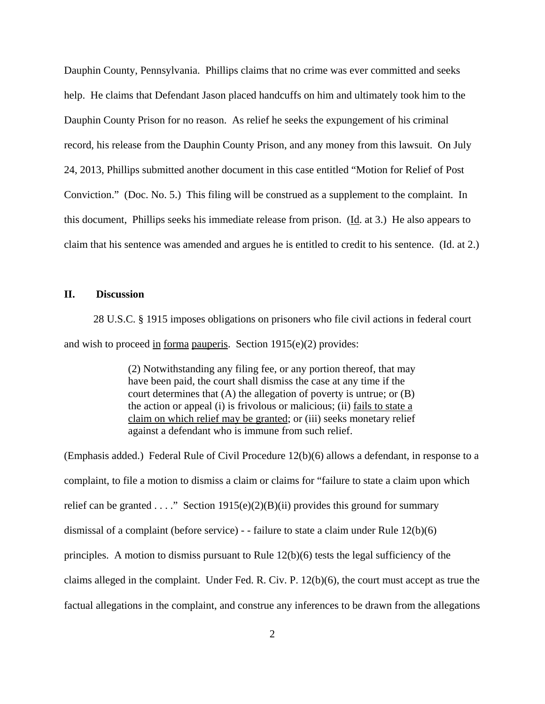Dauphin County, Pennsylvania. Phillips claims that no crime was ever committed and seeks help. He claims that Defendant Jason placed handcuffs on him and ultimately took him to the Dauphin County Prison for no reason. As relief he seeks the expungement of his criminal record, his release from the Dauphin County Prison, and any money from this lawsuit. On July 24, 2013, Phillips submitted another document in this case entitled "Motion for Relief of Post Conviction." (Doc. No. 5.) This filing will be construed as a supplement to the complaint. In this document, Phillips seeks his immediate release from prison. (Id. at 3.) He also appears to claim that his sentence was amended and argues he is entitled to credit to his sentence. (Id. at 2.)

### **II. Discussion**

 28 U.S.C. § 1915 imposes obligations on prisoners who file civil actions in federal court and wish to proceed in forma pauperis. Section 1915(e)(2) provides:

> (2) Notwithstanding any filing fee, or any portion thereof, that may have been paid, the court shall dismiss the case at any time if the court determines that  $(A)$  the allegation of poverty is untrue; or  $(B)$ the action or appeal (i) is frivolous or malicious; (ii) fails to state a claim on which relief may be granted; or (iii) seeks monetary relief against a defendant who is immune from such relief.

(Emphasis added.) Federal Rule of Civil Procedure 12(b)(6) allows a defendant, in response to a complaint, to file a motion to dismiss a claim or claims for "failure to state a claim upon which relief can be granted . . . ." Section  $1915(e)(2)(B)(ii)$  provides this ground for summary dismissal of a complaint (before service) - - failure to state a claim under Rule 12(b)(6) principles. A motion to dismiss pursuant to Rule 12(b)(6) tests the legal sufficiency of the claims alleged in the complaint. Under Fed. R. Civ. P. 12(b)(6), the court must accept as true the factual allegations in the complaint, and construe any inferences to be drawn from the allegations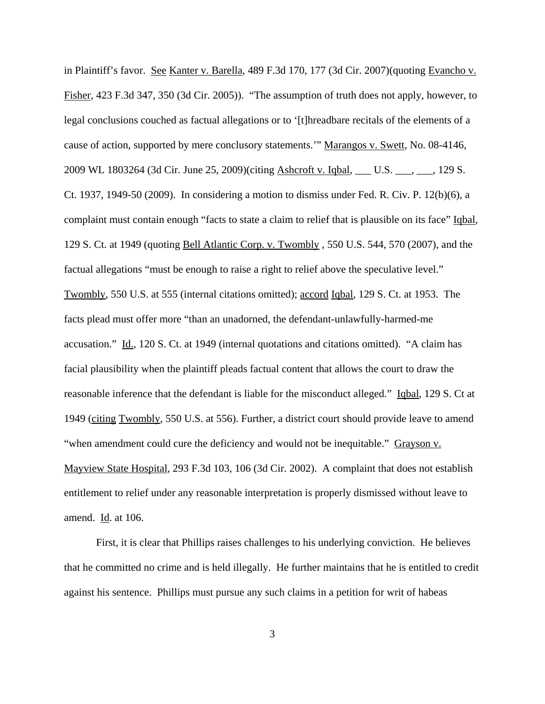in Plaintiff's favor. See Kanter v. Barella, 489 F.3d 170, 177 (3d Cir. 2007) (quoting Evancho v. Fisher, 423 F.3d 347, 350 (3d Cir. 2005)). "The assumption of truth does not apply, however, to legal conclusions couched as factual allegations or to '[t]hreadbare recitals of the elements of a cause of action, supported by mere conclusory statements.'" Marangos v. Swett, No. 08-4146, 2009 WL 1803264 (3d Cir. June 25, 2009)(citing Ashcroft v. Iqbal, \_\_\_ U.S. \_\_\_, \_\_\_, 129 S. Ct. 1937, 1949-50 (2009). In considering a motion to dismiss under Fed. R. Civ. P. 12(b)(6), a complaint must contain enough "facts to state a claim to relief that is plausible on its face" Iqbal, 129 S. Ct. at 1949 (quoting Bell Atlantic Corp. v. Twombly , 550 U.S. 544, 570 (2007), and the factual allegations "must be enough to raise a right to relief above the speculative level." Twombly, 550 U.S. at 555 (internal citations omitted); accord Iqbal, 129 S. Ct. at 1953. The facts plead must offer more "than an unadorned, the defendant-unlawfully-harmed-me accusation." Id., 120 S. Ct. at 1949 (internal quotations and citations omitted). "A claim has facial plausibility when the plaintiff pleads factual content that allows the court to draw the reasonable inference that the defendant is liable for the misconduct alleged." Iqbal, 129 S. Ct at 1949 (citing Twombly, 550 U.S. at 556). Further, a district court should provide leave to amend "when amendment could cure the deficiency and would not be inequitable." Grayson v. Mayview State Hospital, 293 F.3d 103, 106 (3d Cir. 2002). A complaint that does not establish entitlement to relief under any reasonable interpretation is properly dismissed without leave to amend. Id. at 106.

First, it is clear that Phillips raises challenges to his underlying conviction. He believes that he committed no crime and is held illegally. He further maintains that he is entitled to credit against his sentence. Phillips must pursue any such claims in a petition for writ of habeas

3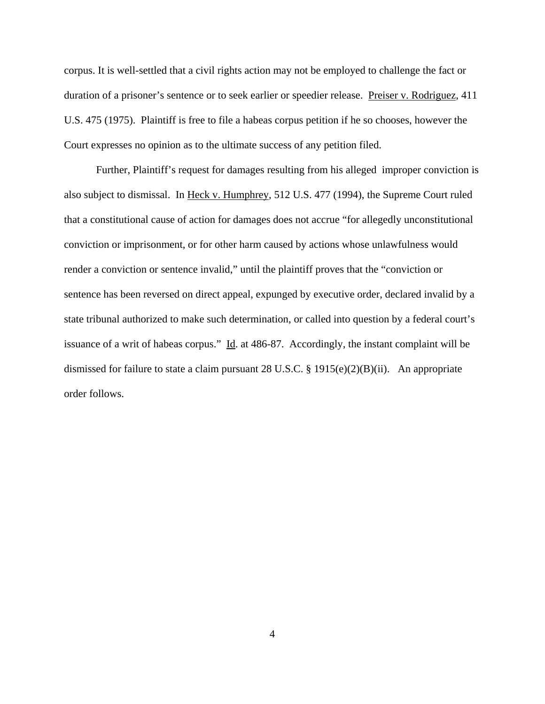corpus. It is well-settled that a civil rights action may not be employed to challenge the fact or duration of a prisoner's sentence or to seek earlier or speedier release. Preiser v. Rodriguez, 411 U.S. 475 (1975). Plaintiff is free to file a habeas corpus petition if he so chooses, however the Court expresses no opinion as to the ultimate success of any petition filed.

Further, Plaintiff's request for damages resulting from his alleged improper conviction is also subject to dismissal. In Heck v. Humphrey, 512 U.S. 477 (1994), the Supreme Court ruled that a constitutional cause of action for damages does not accrue "for allegedly unconstitutional conviction or imprisonment, or for other harm caused by actions whose unlawfulness would render a conviction or sentence invalid," until the plaintiff proves that the "conviction or sentence has been reversed on direct appeal, expunged by executive order, declared invalid by a state tribunal authorized to make such determination, or called into question by a federal court's issuance of a writ of habeas corpus." Id. at 486-87. Accordingly, the instant complaint will be dismissed for failure to state a claim pursuant 28 U.S.C. § 1915(e)(2)(B)(ii). An appropriate order follows.